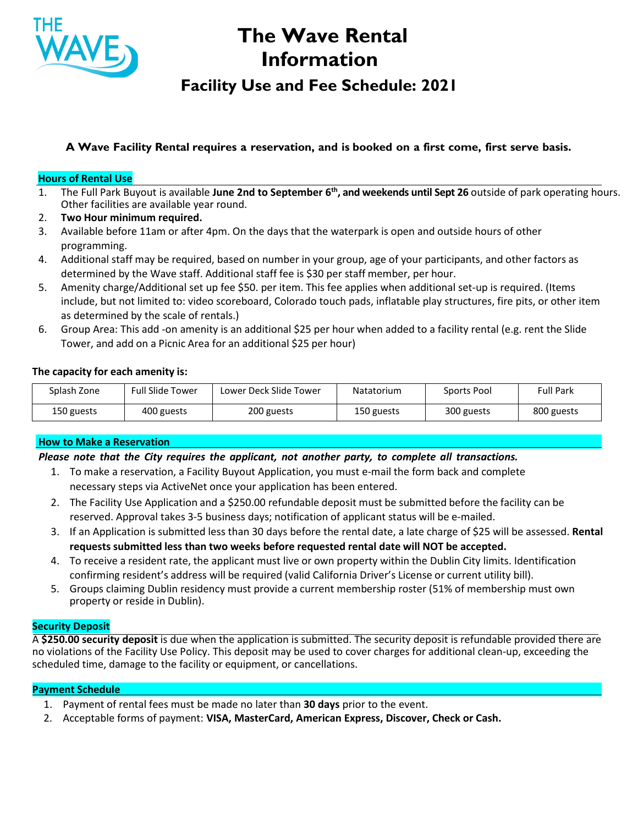

# **The Wave Rental Information**

# **Facility Use and Fee Schedule: 2021**

# **A Wave Facility Rental requires a reservation, and is booked on a first come, first serve basis.**

#### **Hours of Rental Use**

- 1. The Full Park Buyout is available **June 2nd to September 6th, and weekends until Sept 26** outside of park operating hours. Other facilities are available year round.
- 2. **Two Hour minimum required.**
- 3. Available before 11am or after 4pm. On the days that the waterpark is open and outside hours of other programming.
- 4. Additional staff may be required, based on number in your group, age of your participants, and other factors as determined by the Wave staff. Additional staff fee is \$30 per staff member, per hour.
- 5. Amenity charge/Additional set up fee \$50. per item. This fee applies when additional set-up is required. (Items include, but not limited to: video scoreboard, Colorado touch pads, inflatable play structures, fire pits, or other item as determined by the scale of rentals.)
- 6. Group Area: This add -on amenity is an additional \$25 per hour when added to a facility rental (e.g. rent the Slide Tower, and add on a Picnic Area for an additional \$25 per hour)

#### **The capacity for each amenity is:**

| Splash Zone | <b>Full Slide Tower</b> | Lower Deck Slide Tower | Natatorium | Sports Pool | Full Park  |
|-------------|-------------------------|------------------------|------------|-------------|------------|
| 150 guests  | 400 guests              | 200 guests             | 150 guests | 300 guests  | 800 guests |

#### **How to Make a Reservation**

#### *Please note that the City requires the applicant, not another party, to complete all transactions.*

- 1. To make a reservation, a Facility Buyout Application, you must e-mail the form back and complete necessary steps via ActiveNet once your application has been entered.
- 2. The Facility Use Application and a \$250.00 refundable deposit must be submitted before the facility can be reserved. Approval takes 3-5 business days; notification of applicant status will be e-mailed.
- 3. If an Application is submitted less than 30 days before the rental date, a late charge of \$25 will be assessed. **Rental requests submitted less than two weeks before requested rental date will NOT be accepted.**
- 4. To receive a resident rate, the applicant must live or own property within the Dublin City limits. Identification confirming resident's address will be required (valid California Driver's License or current utility bill).
- 5. Groups claiming Dublin residency must provide a current membership roster (51% of membership must own property or reside in Dublin).

#### **Security Deposit**

A **\$250.00 security deposit** is due when the application is submitted. The security deposit is refundable provided there are no violations of the Facility Use Policy. This deposit may be used to cover charges for additional clean-up, exceeding the scheduled time, damage to the facility or equipment, or cancellations.

#### **Payment Schedule**

- 1. Payment of rental fees must be made no later than **30 days** prior to the event.
- 2. Acceptable forms of payment: **VISA, MasterCard, American Express, Discover, Check or Cash.**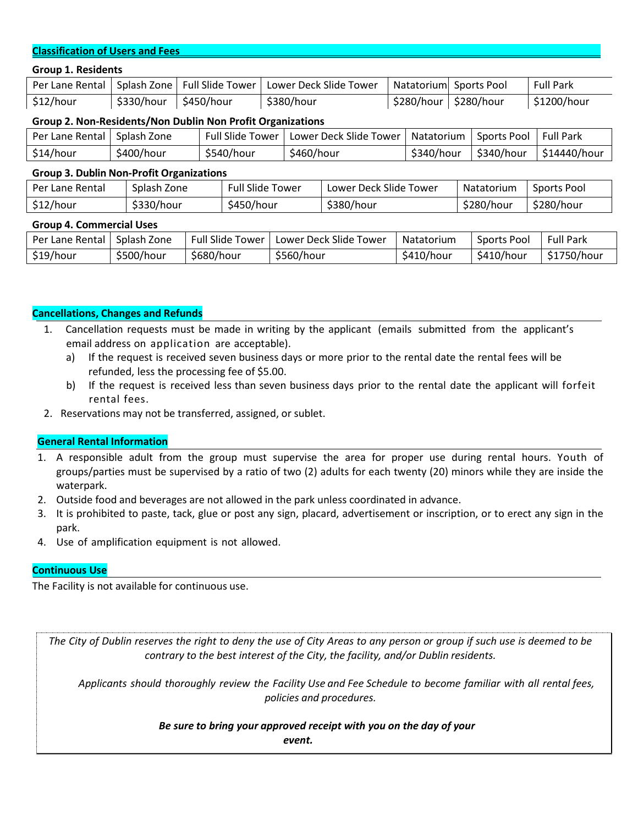#### **Classification of Users and Fees**

|  |  | <b>Group 1. Residents</b> |
|--|--|---------------------------|
|--|--|---------------------------|

| Per Lane Rental                                            | Splash Zone |  | <b>Full Slide Tower</b> |                         | Lower Deck Slide Tower |                        | Natatorium             |  | Sports Pool |            | <b>Full Park</b> |             |                  |  |
|------------------------------------------------------------|-------------|--|-------------------------|-------------------------|------------------------|------------------------|------------------------|--|-------------|------------|------------------|-------------|------------------|--|
| \$12/hour                                                  | \$330/hour  |  | \$450/hour              |                         |                        | \$380/hour             |                        |  | \$280/hour  | \$280/hour |                  | \$1200/hour |                  |  |
| Group 2. Non-Residents/Non Dublin Non Profit Organizations |             |  |                         |                         |                        |                        |                        |  |             |            |                  |             |                  |  |
| Per Lane Rental                                            | Splash Zone |  |                         | <b>Full Slide Tower</b> |                        | Lower Deck Slide Tower |                        |  | Natatorium  |            | Sports Pool      |             | <b>Full Park</b> |  |
| \$14/hour                                                  | \$400/hour  |  |                         | \$540/hour              |                        | \$460/hour             |                        |  | \$340/hour  |            | \$340/hour       |             | \$14440/hour     |  |
| <b>Group 3. Dublin Non-Profit Organizations</b>            |             |  |                         |                         |                        |                        |                        |  |             |            |                  |             |                  |  |
| Per Lane Rental                                            | Splash Zone |  |                         | <b>Full Slide Tower</b> |                        |                        | Lower Deck Slide Tower |  | Natatorium  |            | Sports Pool      |             |                  |  |
| \$12/hour                                                  | \$330/hour  |  |                         | \$450/hour              |                        |                        | \$380/hour             |  | \$280/hour  |            | \$280/hour       |             |                  |  |
| <b>Group 4. Commercial Uses</b>                            |             |  |                         |                         |                        |                        |                        |  |             |            |                  |             |                  |  |
| Per Lane Rental                                            | Splash Zone |  |                         | <b>Full Slide Tower</b> |                        | Lower Deck Slide Tower |                        |  | Natatorium  |            | Sports Pool      |             | <b>Full Park</b> |  |

\$19/hour |\$500/hour |\$680/hour |\$560/hour |\$410/hour |\$410/hour |\$1750/hour

### **Cancellations, Changes and Refunds**

- 1. Cancellation requests must be made in writing by the applicant (emails submitted from the applicant's email address on application are acceptable).
	- a) If the request is received seven business days or more prior to the rental date the rental fees will be refunded, less the processing fee of \$5.00.
	- b) If the request is received less than seven business days prior to the rental date the applicant will forfeit rental fees.
- 2. Reservations may not be transferred, assigned, or sublet.

## **General Rental Information**

- 1. A responsible adult from the group must supervise the area for proper use during rental hours. Youth of groups/parties must be supervised by a ratio of two (2) adults for each twenty (20) minors while they are inside the waterpark.
- 2. Outside food and beverages are not allowed in the park unless coordinated in advance.
- 3. It is prohibited to paste, tack, glue or post any sign, placard, advertisement or inscription, or to erect any sign in the park.
- 4. Use of amplification equipment is not allowed.

## **Continuous Use**

The Facility is not available for continuous use.

The City of Dublin reserves the right to deny the use of City Areas to any person or group if such use is deemed to be *contrary to the best interest of the City, the facility, and/or Dublin residents.*

Applicants should thoroughly review the Facility Use and Fee Schedule to become familiar with all rental fees, *policies and procedures.*

# *Be sure to bring your approved receipt with you on the day of your*

*event.*